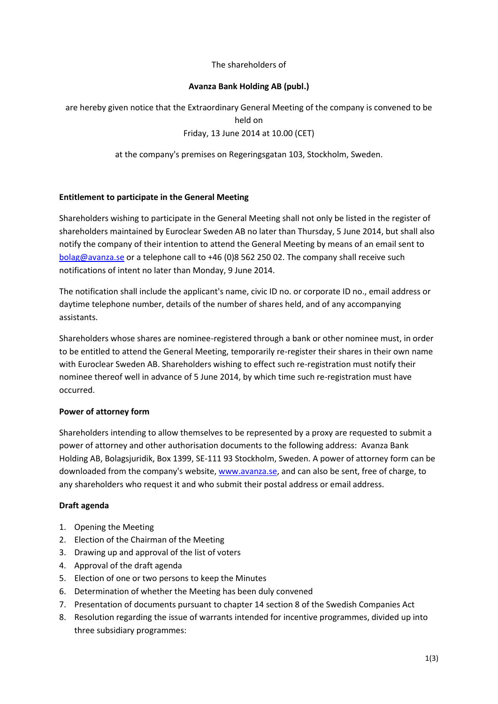### The shareholders of

### **Avanza Bank Holding AB (publ.)**

are hereby given notice that the Extraordinary General Meeting of the company is convened to be held on Friday, 13 June 2014 at 10.00 (CET)

at the company's premises on Regeringsgatan 103, Stockholm, Sweden.

### **Entitlement to participate in the General Meeting**

Shareholders wishing to participate in the General Meeting shall not only be listed in the register of shareholders maintained by Euroclear Sweden AB no later than Thursday, 5 June 2014, but shall also notify the company of their intention to attend the General Meeting by means of an email sent to [bolag@avanza.se](mailto:bolag@avanza.se) or a telephone call to +46 (0)8 562 250 02. The company shall receive such notifications of intent no later than Monday, 9 June 2014.

The notification shall include the applicant's name, civic ID no. or corporate ID no., email address or daytime telephone number, details of the number of shares held, and of any accompanying assistants.

Shareholders whose shares are nominee-registered through a bank or other nominee must, in order to be entitled to attend the General Meeting, temporarily re-register their shares in their own name with Euroclear Sweden AB. Shareholders wishing to effect such re-registration must notify their nominee thereof well in advance of 5 June 2014, by which time such re-registration must have occurred.

#### **Power of attorney form**

Shareholders intending to allow themselves to be represented by a proxy are requested to submit a power of attorney and other authorisation documents to the following address: Avanza Bank Holding AB, Bolagsjuridik, Box 1399, SE-111 93 Stockholm, Sweden. A power of attorney form can be downloaded from the company's website[, www.avanza.se,](http://www.avanza.se/) and can also be sent, free of charge, to any shareholders who request it and who submit their postal address or email address.

#### **Draft agenda**

- 1. Opening the Meeting
- 2. Election of the Chairman of the Meeting
- 3. Drawing up and approval of the list of voters
- 4. Approval of the draft agenda
- 5. Election of one or two persons to keep the Minutes
- 6. Determination of whether the Meeting has been duly convened
- 7. Presentation of documents pursuant to chapter 14 section 8 of the Swedish Companies Act
- 8. Resolution regarding the issue of warrants intended for incentive programmes, divided up into three subsidiary programmes: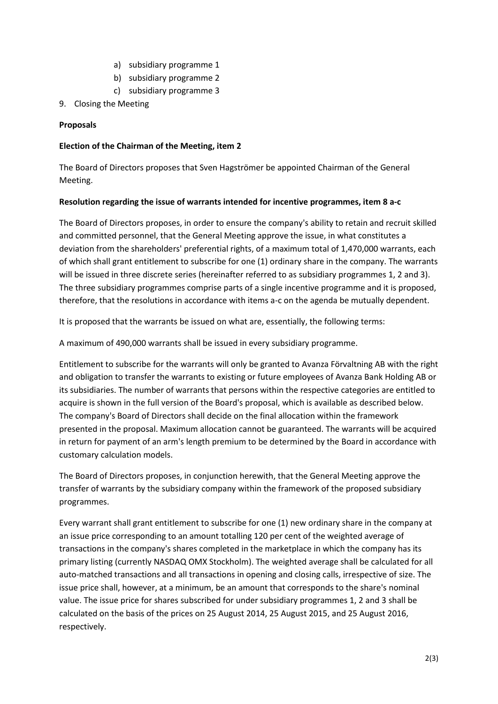- a) subsidiary programme 1
- b) subsidiary programme 2
- c) subsidiary programme 3
- 9. Closing the Meeting

## **Proposals**

## **Election of the Chairman of the Meeting, item 2**

The Board of Directors proposes that Sven Hagströmer be appointed Chairman of the General Meeting.

### **Resolution regarding the issue of warrants intended for incentive programmes, item 8 a-c**

The Board of Directors proposes, in order to ensure the company's ability to retain and recruit skilled and committed personnel, that the General Meeting approve the issue, in what constitutes a deviation from the shareholders' preferential rights, of a maximum total of 1,470,000 warrants, each of which shall grant entitlement to subscribe for one (1) ordinary share in the company. The warrants will be issued in three discrete series (hereinafter referred to as subsidiary programmes 1, 2 and 3). The three subsidiary programmes comprise parts of a single incentive programme and it is proposed, therefore, that the resolutions in accordance with items a-c on the agenda be mutually dependent.

It is proposed that the warrants be issued on what are, essentially, the following terms:

A maximum of 490,000 warrants shall be issued in every subsidiary programme.

Entitlement to subscribe for the warrants will only be granted to Avanza Förvaltning AB with the right and obligation to transfer the warrants to existing or future employees of Avanza Bank Holding AB or its subsidiaries. The number of warrants that persons within the respective categories are entitled to acquire is shown in the full version of the Board's proposal, which is available as described below. The company's Board of Directors shall decide on the final allocation within the framework presented in the proposal. Maximum allocation cannot be guaranteed. The warrants will be acquired in return for payment of an arm's length premium to be determined by the Board in accordance with customary calculation models.

The Board of Directors proposes, in conjunction herewith, that the General Meeting approve the transfer of warrants by the subsidiary company within the framework of the proposed subsidiary programmes.

Every warrant shall grant entitlement to subscribe for one (1) new ordinary share in the company at an issue price corresponding to an amount totalling 120 per cent of the weighted average of transactions in the company's shares completed in the marketplace in which the company has its primary listing (currently NASDAQ OMX Stockholm). The weighted average shall be calculated for all auto-matched transactions and all transactions in opening and closing calls, irrespective of size. The issue price shall, however, at a minimum, be an amount that corresponds to the share's nominal value. The issue price for shares subscribed for under subsidiary programmes 1, 2 and 3 shall be calculated on the basis of the prices on 25 August 2014, 25 August 2015, and 25 August 2016, respectively.